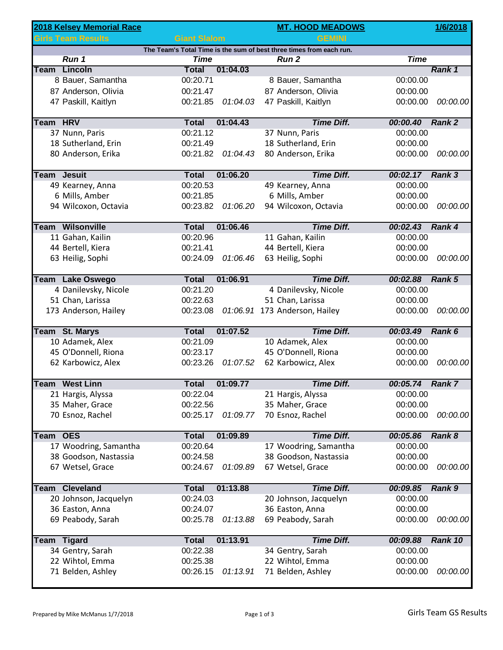|             | 2018 Kelsey Memorial Race |                     |          | <b>MT. HOOD MEADOWS</b>                                             |                 | 1/6/2018          |
|-------------|---------------------------|---------------------|----------|---------------------------------------------------------------------|-----------------|-------------------|
|             | <b>Girls Team Results</b> | <b>Giant Slalom</b> |          | <b>GEMINI</b>                                                       |                 |                   |
|             |                           |                     |          | The Team's Total Time is the sum of best three times from each run. |                 |                   |
|             | Run 1                     | <b>Time</b>         |          | <b>Run 2</b>                                                        | <b>Time</b>     |                   |
|             | Team Lincoln              | <b>Total</b>        | 01:04.03 |                                                                     |                 | Rank 1            |
|             | 8 Bauer, Samantha         | 00:20.71            |          | 8 Bauer, Samantha                                                   | 00:00.00        |                   |
|             | 87 Anderson, Olivia       | 00:21.47            |          | 87 Anderson, Olivia                                                 | 00:00.00        |                   |
|             | 47 Paskill, Kaitlyn       | 00:21.85            | 01:04.03 | 47 Paskill, Kaitlyn                                                 | 00:00.00        | 00:00.00          |
| Team HRV    |                           | <b>Total</b>        | 01:04.43 | <b>Time Diff.</b>                                                   | 00:00.40        | Rank <sub>2</sub> |
|             | 37 Nunn, Paris            | 00:21.12            |          | 37 Nunn, Paris                                                      | 00:00.00        |                   |
|             | 18 Sutherland, Erin       | 00:21.49            |          | 18 Sutherland, Erin                                                 | 00:00.00        |                   |
|             | 80 Anderson, Erika        | 00:21.82            | 01:04.43 | 80 Anderson, Erika                                                  | 00:00.00        | 00:00.00          |
|             | <b>Team Jesuit</b>        | <b>Total</b>        | 01:06.20 | <b>Time Diff.</b>                                                   | 00:02.17 Rank 3 |                   |
|             | 49 Kearney, Anna          | 00:20.53            |          | 49 Kearney, Anna                                                    | 00:00.00        |                   |
|             | 6 Mills, Amber            | 00:21.85            |          | 6 Mills, Amber                                                      | 00:00.00        |                   |
|             | 94 Wilcoxon, Octavia      | 00:23.82            | 01:06.20 | 94 Wilcoxon, Octavia                                                | 00:00.00        | 00:00.00          |
|             | <b>Team Wilsonville</b>   | <b>Total</b>        | 01:06.46 | <b>Time Diff.</b>                                                   | 00:02.43        | Rank 4            |
|             | 11 Gahan, Kailin          | 00:20.96            |          | 11 Gahan, Kailin                                                    | 00:00.00        |                   |
|             | 44 Bertell, Kiera         | 00:21.41            |          | 44 Bertell, Kiera                                                   | 00:00.00        |                   |
|             | 63 Heilig, Sophi          | 00:24.09            | 01:06.46 | 63 Heilig, Sophi                                                    | 00:00.00        | 00:00.00          |
|             |                           |                     |          |                                                                     |                 |                   |
|             | <b>Team Lake Oswego</b>   | <b>Total</b>        | 01:06.91 | <b>Time Diff.</b>                                                   | 00:02.88        | Rank 5            |
|             | 4 Danilevsky, Nicole      | 00:21.20            |          | 4 Danilevsky, Nicole                                                | 00:00.00        |                   |
|             | 51 Chan, Larissa          | 00:22.63            |          | 51 Chan, Larissa                                                    | 00:00.00        |                   |
|             | 173 Anderson, Hailey      | 00:23.08            |          | 01:06.91 173 Anderson, Hailey                                       | 00:00.00        | 00:00.00          |
|             | <b>Team St. Marys</b>     | <b>Total</b>        | 01:07.52 | <b>Time Diff.</b>                                                   | 00:03.49        | Rank 6            |
|             | 10 Adamek, Alex           | 00:21.09            |          | 10 Adamek, Alex                                                     | 00:00.00        |                   |
|             | 45 O'Donnell, Riona       | 00:23.17            |          | 45 O'Donnell, Riona                                                 | 00:00.00        |                   |
|             | 62 Karbowicz, Alex        | 00:23.26            | 01:07.52 | 62 Karbowicz, Alex                                                  | 00:00.00        | 00:00.00          |
|             |                           |                     |          |                                                                     |                 |                   |
|             | <b>Team</b> West Linn     | <b>Total</b>        | 01:09.77 | <b>Time Diff.</b>                                                   | 00:05.74        | Rank 7            |
|             | 21 Hargis, Alyssa         | 00:22.04            |          | 21 Hargis, Alyssa                                                   | 00:00.00        |                   |
|             | 35 Maher, Grace           | 00:22.56            |          | 35 Maher, Grace                                                     | 00:00.00        |                   |
|             | 70 Esnoz, Rachel          | 00:25.17            | 01:09.77 | 70 Esnoz, Rachel                                                    | 00:00.00        | 00:00.00          |
| Team OES    |                           | <b>Total</b>        | 01:09.89 | <b>Time Diff.</b>                                                   | 00:05.86        | Rank 8            |
|             | 17 Woodring, Samantha     | 00:20.64            |          | 17 Woodring, Samantha                                               | 00:00.00        |                   |
|             | 38 Goodson, Nastassia     | 00:24.58            |          | 38 Goodson, Nastassia                                               | 00:00.00        |                   |
|             | 67 Wetsel, Grace          | 00:24.67            | 01:09.89 | 67 Wetsel, Grace                                                    | 00:00.00        | 00:00.00          |
| <b>Team</b> | <b>Cleveland</b>          | <b>Total</b>        | 01:13.88 | <b>Time Diff.</b>                                                   | 00:09.85        | Rank 9            |
|             | 20 Johnson, Jacquelyn     | 00:24.03            |          | 20 Johnson, Jacquelyn                                               | 00:00.00        |                   |
|             | 36 Easton, Anna           | 00:24.07            |          | 36 Easton, Anna                                                     | 00:00.00        |                   |
|             | 69 Peabody, Sarah         | 00:25.78            | 01:13.88 | 69 Peabody, Sarah                                                   | 00:00.00        | 00:00.00          |
| <b>Team</b> | <b>Tigard</b>             | <b>Total</b>        | 01:13.91 | <b>Time Diff.</b>                                                   | 00:09.88        | Rank 10           |
|             | 34 Gentry, Sarah          | 00:22.38            |          | 34 Gentry, Sarah                                                    | 00:00.00        |                   |
|             | 22 Wihtol, Emma           | 00:25.38            |          | 22 Wihtol, Emma                                                     | 00:00.00        |                   |
|             | 71 Belden, Ashley         | 00:26.15            | 01:13.91 | 71 Belden, Ashley                                                   | 00:00.00        | 00:00.00          |
|             |                           |                     |          |                                                                     |                 |                   |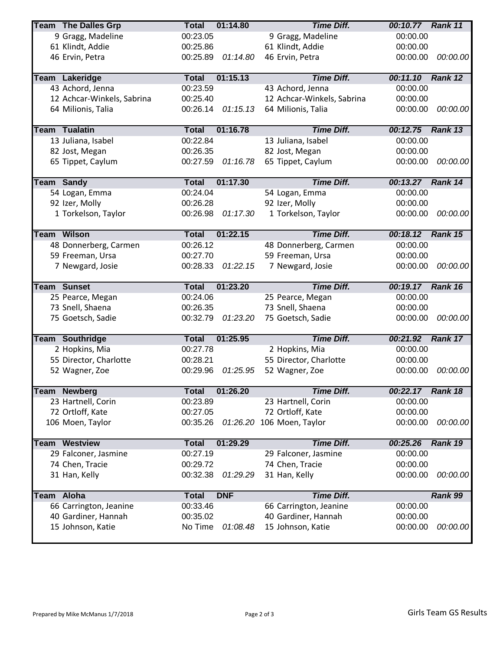|             | <b>Team The Dalles Grp</b> | <b>Total</b> | 01:14.80   | <b>Time Diff.</b>          | 00:10.77 Rank 11 |                                  |
|-------------|----------------------------|--------------|------------|----------------------------|------------------|----------------------------------|
|             | 9 Gragg, Madeline          | 00:23.05     |            | 9 Gragg, Madeline          | 00:00.00         |                                  |
|             | 61 Klindt, Addie           | 00:25.86     |            | 61 Klindt, Addie           | 00:00.00         |                                  |
|             | 46 Ervin, Petra            | 00:25.89     | 01:14.80   | 46 Ervin, Petra            | 00:00.00         | 00:00.00                         |
|             |                            |              |            |                            |                  |                                  |
|             | <b>Team Lakeridge</b>      | <b>Total</b> | 01:15.13   | <b>Time Diff.</b>          | 00:11.10         | Rank 12                          |
|             | 43 Achord, Jenna           | 00:23.59     |            | 43 Achord, Jenna           | 00:00.00         |                                  |
|             | 12 Achcar-Winkels, Sabrina | 00:25.40     |            | 12 Achcar-Winkels, Sabrina | 00:00.00         |                                  |
|             | 64 Milionis, Talia         | 00:26.14     | 01:15.13   | 64 Milionis, Talia         | 00:00.00         | 00:00.00                         |
|             |                            |              |            |                            |                  |                                  |
|             | <b>Team Tualatin</b>       | <b>Total</b> | 01:16.78   | <b>Time Diff.</b>          | 00:12.75         | Rank 13                          |
|             | 13 Juliana, Isabel         | 00:22.84     |            | 13 Juliana, Isabel         | 00:00.00         |                                  |
|             | 82 Jost, Megan             | 00:26.35     |            | 82 Jost, Megan             | 00:00.00         |                                  |
|             | 65 Tippet, Caylum          | 00:27.59     | 01:16.78   | 65 Tippet, Caylum          | 00:00.00         | 00:00.00                         |
|             |                            |              |            |                            |                  |                                  |
|             | <b>Team Sandy</b>          | <b>Total</b> | 01:17.30   | <b>Time Diff.</b>          | 00:13.27 Rank 14 |                                  |
|             | 54 Logan, Emma             | 00:24.04     |            | 54 Logan, Emma             | 00:00.00         |                                  |
|             | 92 Izer, Molly             | 00:26.28     |            | 92 Izer, Molly             | 00:00.00         |                                  |
|             | 1 Torkelson, Taylor        | 00:26.98     | 01:17.30   | 1 Torkelson, Taylor        | 00:00.00         | 00:00.00                         |
|             |                            |              |            |                            |                  |                                  |
|             | <b>Team Wilson</b>         | <b>Total</b> | 01:22.15   | <b>Time Diff.</b>          | 00:18.12         | Rank 15                          |
|             | 48 Donnerberg, Carmen      | 00:26.12     |            | 48 Donnerberg, Carmen      | 00:00.00         |                                  |
|             | 59 Freeman, Ursa           | 00:27.70     |            | 59 Freeman, Ursa           | 00:00.00         |                                  |
|             | 7 Newgard, Josie           | 00:28.33     | 01:22.15   | 7 Newgard, Josie           | 00:00.00         | 00:00.00                         |
|             |                            |              |            |                            |                  |                                  |
|             | <b>Team Sunset</b>         | <b>Total</b> | 01:23.20   | <b>Time Diff.</b>          | 00:19.17 Rank 16 |                                  |
|             | 25 Pearce, Megan           | 00:24.06     |            | 25 Pearce, Megan           | 00:00.00         |                                  |
|             | 73 Snell, Shaena           | 00:26.35     |            | 73 Snell, Shaena           | 00:00.00         |                                  |
|             |                            |              |            |                            |                  |                                  |
|             | 75 Goetsch, Sadie          | 00:32.79     | 01:23.20   | 75 Goetsch, Sadie          | 00:00.00         |                                  |
|             |                            |              |            |                            |                  |                                  |
|             | <b>Team Southridge</b>     | <b>Total</b> | 01:25.95   | <b>Time Diff.</b>          | 00:21.92         | 00:00.00<br>Rank 17              |
|             | 2 Hopkins, Mia             | 00:27.78     |            | 2 Hopkins, Mia             | 00:00.00         |                                  |
|             | 55 Director, Charlotte     | 00:28.21     |            | 55 Director, Charlotte     | 00:00.00         |                                  |
|             | 52 Wagner, Zoe             | 00:29.96     | 01:25.95   | 52 Wagner, Zoe             | 00:00.00         |                                  |
|             |                            |              |            |                            |                  |                                  |
|             | Team Newberg               | <b>Total</b> | 01:26.20   | <b>Time Diff.</b>          | 00:22.17         | 00:00.00<br>Rank 18              |
|             | 23 Hartnell, Corin         | 00:23.89     |            | 23 Hartnell, Corin         | 00:00.00         |                                  |
|             | 72 Ortloff, Kate           | 00:27.05     |            | 72 Ortloff, Kate           | 00:00.00         |                                  |
|             | 106 Moen, Taylor           | 00:35.26     |            | 01:26.20 106 Moen, Taylor  | 00:00.00         |                                  |
|             |                            |              |            |                            |                  |                                  |
|             | <b>Team Westview</b>       | <b>Total</b> | 01:29.29   | <b>Time Diff.</b>          | 00:25.26         | Rank 19                          |
|             | 29 Falconer, Jasmine       | 00:27.19     |            | 29 Falconer, Jasmine       | 00:00.00         |                                  |
|             | 74 Chen, Tracie            | 00:29.72     |            | 74 Chen, Tracie            | 00:00.00         |                                  |
|             | 31 Han, Kelly              | 00:32.38     | 01:29.29   | 31 Han, Kelly              | 00:00.00         |                                  |
|             |                            |              |            |                            |                  |                                  |
| <b>Team</b> | Aloha                      | <b>Total</b> | <b>DNF</b> | <b>Time Diff.</b>          |                  | Rank 99                          |
|             | 66 Carrington, Jeanine     | 00:33.46     |            | 66 Carrington, Jeanine     | 00:00.00         |                                  |
|             | 40 Gardiner, Hannah        | 00:35.02     |            | 40 Gardiner, Hannah        | 00:00.00         |                                  |
|             | 15 Johnson, Katie          | No Time      | 01:08.48   | 15 Johnson, Katie          | 00:00.00         | 00:00.00<br>00:00.00<br>00:00.00 |